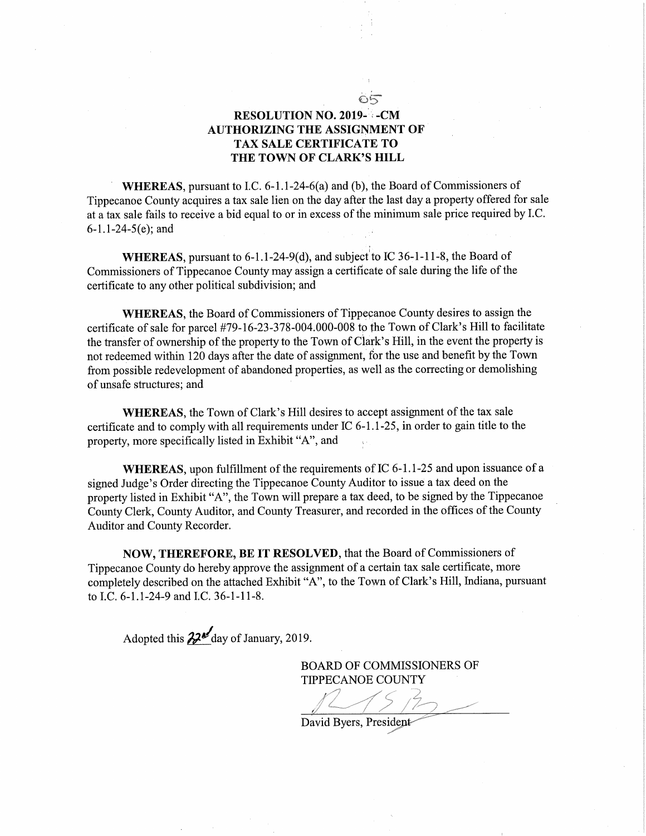## RESOLUTION NO. 2019-1-CM AUTHORIZING THE ASSIGNMENT OF TAX SALE CERTIFICATE TO THE TOWN OF CLARK'S HILL

=5;wwww

WHEREAS, pursuant to I.C.  $6-1.1-24-6(a)$  and (b), the Board of Commissioners of Tippecanoe County acquires <sup>a</sup> tax sale lien on the day after the last day <sup>a</sup> property offered for sale at <sup>a</sup> tax sale fails to receive <sup>a</sup> bid equal to or in excess Of the minimum sale price required by LC. 6-1.1-24-5(e); and

WHEREAS, pursuant to  $6-1.1-24-9(d)$ , and subject to IC 36-1-11-8, the Board of Commissioners of Tippecanoe County may assign a certificate of sale during the life of the certificate to any other political subdivision; and

WHEREAS, the Board of Commissioners of Tippecanoe County desires to assign the certificate Of sale for parcel #79—16-23—378-004.000—008 to the Town Of Clark's Hill to facilitate the transfer of ownership of the property to the Town of Clark's Hill, in the event the property is not redeemed within <sup>120</sup> days after the date of assignment, for the use and benefit by the Town from possible redevelopment of abandoned properties, as well as the correcting or demolishing of unsafe structures; and '

WHEREAS, the Town of Clark's Hill desires to accept assignment of the tax sale certificate and to comply with all requirements under IC 6-1.1-25, in order to gain title to the property, more specifically listed in Exhibit "A", and

WHEREAS, upon fulfillment of the requirements of IC 6-1.1-25 and upon issuance of a signed Judge's Order directing the Tippecanoe County Auditor to issue <sup>a</sup> tax deed on the property listed in Exhibit "A", the Town will prepare <sup>a</sup> tax deed, to be signed by the Tippecanoe County Clerk, County Auditor, and County Treasurer, and recorded in the offices of the County Auditor and County Recorder.

NOW, THEREFORE, BE IT RESOLVED, that the Board of Commissioners of Tippecanoe County do hereby approve the assignment of <sup>a</sup> certain tax sale certificate, more completely described on the attached Exhibit "A", to the Town of Clark's Hill, Indiana, pursuant to I.C. 6-1.1-24-9 and I.C. 36-1-11-8.

Adopted this  $22$ <sup>d</sup> day of January, 2019.

BOARD OF COMMISSIONERS OF

TIPPECANOE COUNTY n.4,?) rin 1998 | 1998 | 1998 | 1998 | 1998 | 1998 | 1998 | 1998 | 1998 | 1998 | 1998 | 1998 | 1999 | 1999 | 1999 | 19<br>Supers, President <sup>a</sup>"; <sup>a</sup>"  $275.7$ 

,,,,,,,

IIIIIIIII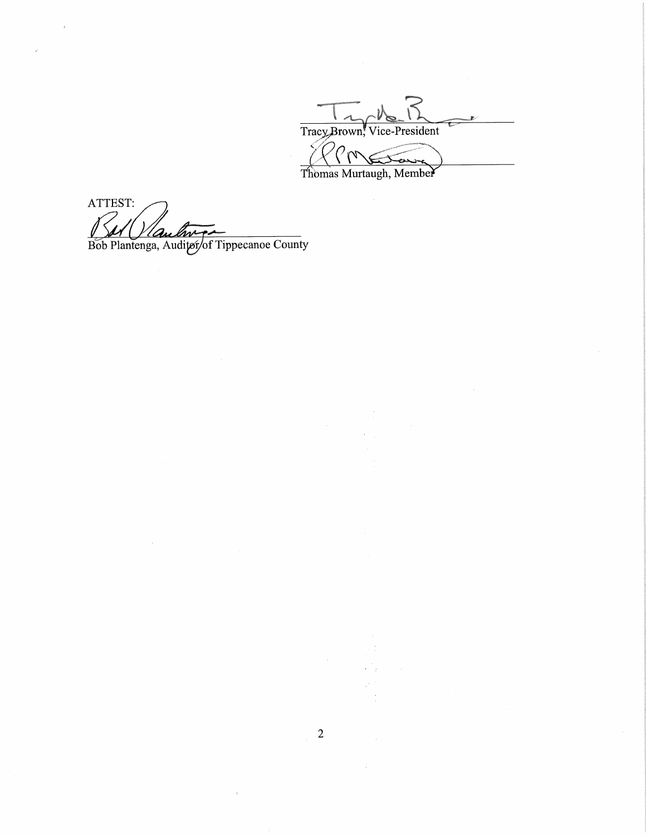Tracy Brown, Vice-President  $^{\prime}\mathcal{O}_{\mathcal{N}}$ سيسمد Thomas Murtaugh, Member

ATTEST: Bob Plantenga, Auditor of Tippecanoe County